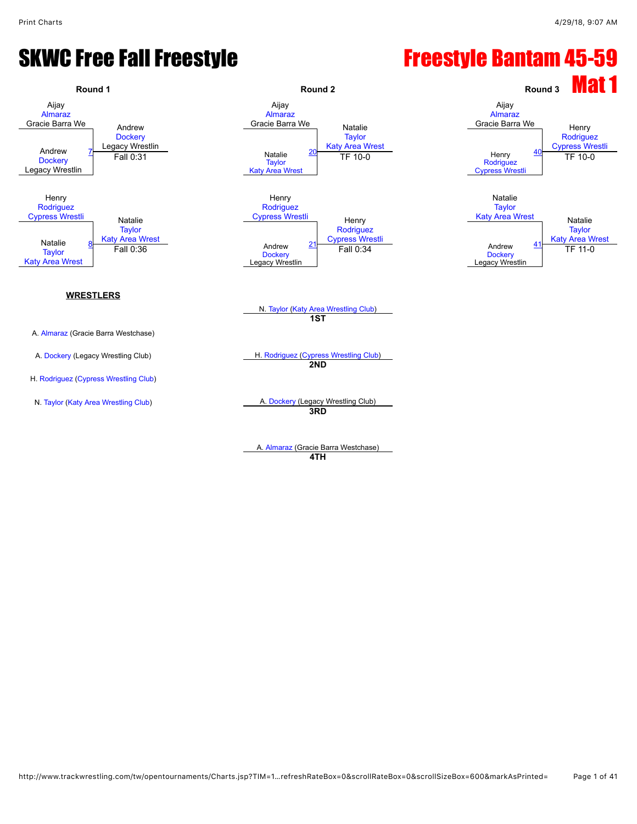#### SKWC Free Fall Freestyle **Freestyle Bantam 45-59**



A. [Almaraz](javascript:viewProfile(650488132)) (Gracie Barra Westchase) **4TH**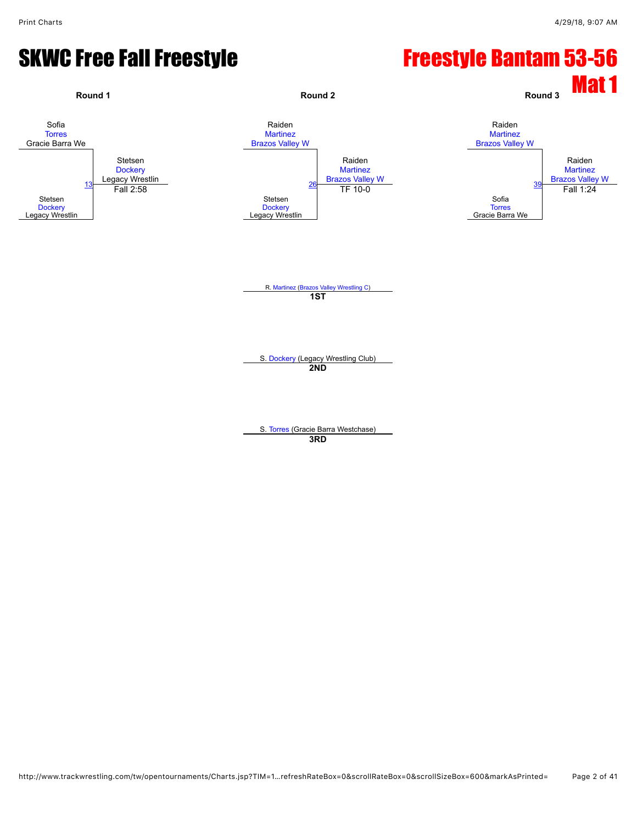#### SKWC Free Fall Freestyle **Freestyle Bantam 53-56**

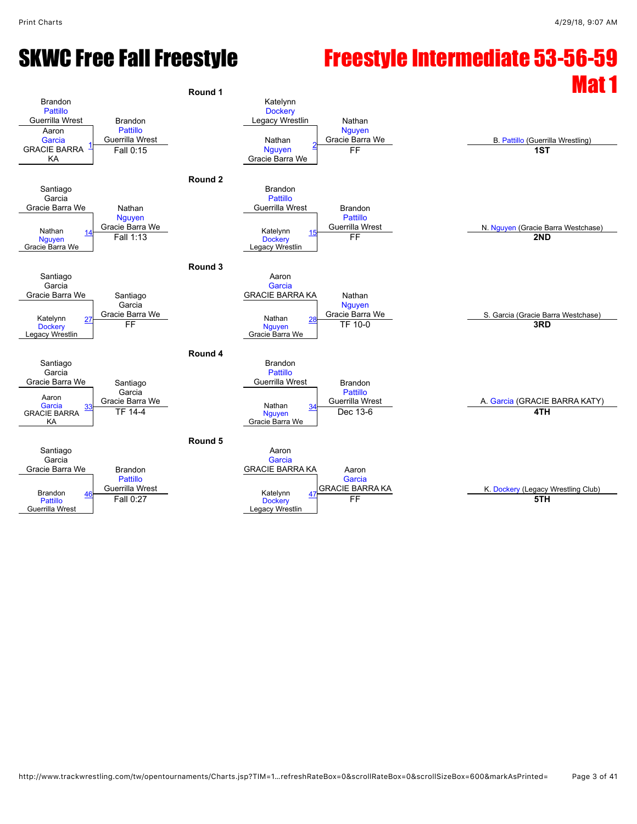#### SKWC Free Fall Freestyle Freestyle Intermediate 53-56-59 Round 1

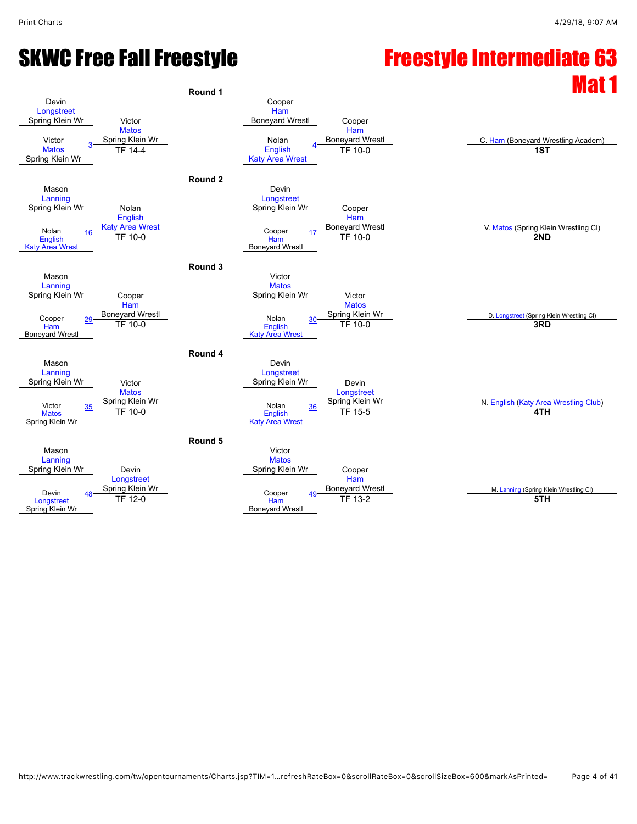### SKWC Free Fall Freestyle **Freestyle Intermediate 63**

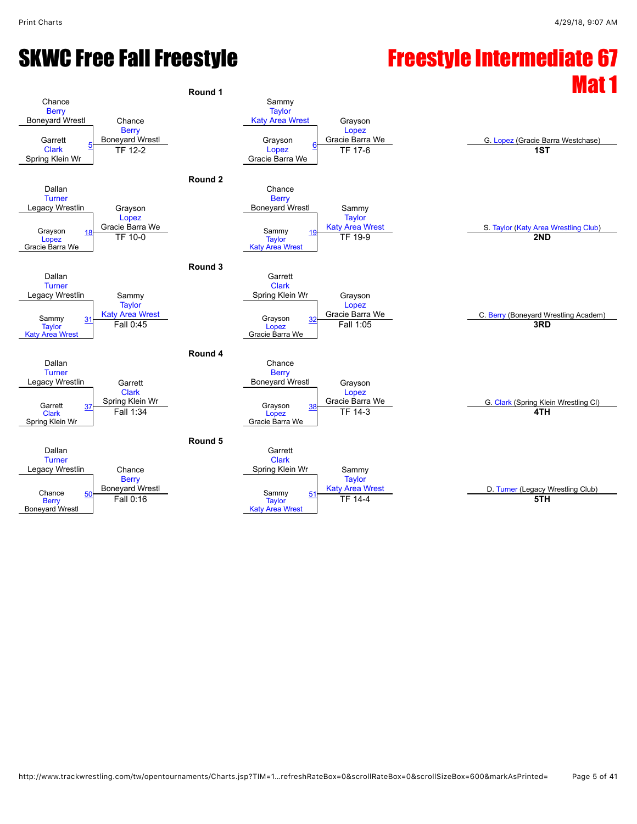### SKWC Free Fall Freestyle **Freestyle Intermediate 67**

#### Round 1 **Chance [Berry](javascript:viewProfile(1145567096))** Boneyard Wrestl Chance **[Berry](javascript:viewProfile(1145567096))** Boneyard Wrestl<br>
Final Communication of the Crayson<br>
Supervisor of the Crayson Sammy **[Taylor](javascript:viewProfile(1552820009))** [Katy Area Wrest](javascript:viewClub(127187009)) Grayson [Lopez](javascript:viewProfile(278998132)) Garrett Gracie Barra We G. [Lopez](javascript:viewProfile(278998132)) (Gracie Barra Westchase) [Clark](javascript:viewProfile(1535145096)) Spring Klein Wr [Lopez](javascript:viewProfile(278998132)) Gracie Barra We Fr 12-2 **18.** Lopez **19. Lopez 18.** Lopez **18.** Lopez **18.** Lopez **18. 18. 18. 18. 18. 18. 18. 18. 18. 18. 18. 18. 18. 18. 18. 18. 18. 18. 18. 18. 18. 18. 18. 18. 18. 18. Round 2** Dallan **[Turner](javascript:viewProfile(1803690096))** Legacy Wrestlin Grayson [Lopez](javascript:viewProfile(278998132)) Sinal Gracie Barra We<br> [18](javascript:openBoutSheet(3,) TE 10.0 Chance **[Berry](javascript:viewProfile(1145567096))** Boneyard Wrestl Sammy **[Taylor](javascript:viewProfile(1552820009))** Grayson 18 Gracie Barra We Sammy Sammy 19 [Katy Area Wrest](javascript:viewClub(127187009)) Carea Contract State Club)<br>Conez Travlor Travlor Travlor Travlor Travlor (CND 2ND 2ND) [Lopez](javascript:viewProfile(278998132)) Gracie Barra We **[Taylor](javascript:viewProfile(1552820009)) [Katy Area Wrest](javascript:viewClub(127187009))** [19](javascript:openBoutSheet(4,) **2012 12 12 13 200 12 13 200 12 13 200 12 14 200 12 200**<br>TF 10-0 **2ND Round 3** Dallan **[Turner](javascript:viewProfile(1803690096))** Legacy Wrestlin Sammy **[Taylor](javascript:viewProfile(1552820009))** [Katy Area Wrest](javascript:viewClub(127187009)) **Garrett** [Clark](javascript:viewProfile(1535145096)) Spring Klein Wr Grayson [Lopez](javascript:viewProfile(278998132))<br>Gracie Barra We Sammy 31 Katy Area Wrest Crayson 32 Gracie Barra We C. [Berry](javascript:viewProfile(1145567096)) (Boneyard Wrestling Academ)<br>Taylor Fall 0:45 Fall 1:05 Fall 1:05 Fall 1:05 **[Taylor](javascript:viewProfile(1552820009))** [Katy Area Wrest](javascript:viewClub(127187009)) Grayson [Lopez](javascript:viewProfile(278998132)) Gracie Barra We [32](javascript:openBoutSheet(6,) Fall 0:45 Fall 1:05 **3RD Round 4** Dallan **[Turner](javascript:viewProfile(1803690096))** Legacy Wrestlin Garrett [Clark](javascript:viewProfile(1535145096)) Spring Klein Wr **Chance [Berry](javascript:viewProfile(1145567096))** Boneyard Wrestl Grayson [Lopez](javascript:viewProfile(278998132))<br>Gracie Barra We Garrett 37 Spring Klein Wr<br>[Clark](javascript:viewProfile(1535145096)) Tall 1:34 Fall 1:34 Clark (Spring Klein Wrestling Cl) [Clark](javascript:viewProfile(1535145096)) Spring Klein Wr Grayson [Lopez](javascript:viewProfile(278998132)) Gracie Barra We [38](javascript:openBoutSheet(8,) Fall 1:34 TF 14-3 **4TH Round 5** Dallan **[Turner](javascript:viewProfile(1803690096))** Legacy Wrestlin Chance **[Berry](javascript:viewProfile(1145567096))** Boneyard Wrestl **Garrett** [Clark](javascript:viewProfile(1535145096)) Spring Klein Wr Sammy **[Taylor](javascript:viewProfile(1552820009))** Chance 50 Boneyard Wrest Chance 50 Boneyard Wrest Sammy 51 [Katy Area Wrest](javascript:viewClub(127187009)) Chance D. [Turner](javascript:viewProfile(1803690096)) (Legacy Wrestling Club)<br>
Rerry Fall 0:16 Taylor TF 14-4 **[Berry](javascript:viewProfile(1145567096))** Boneyard Wrestl Sammy **[Taylor](javascript:viewProfile(1552820009))** [Katy Area Wrest](javascript:viewClub(127187009)) Sammy [51](javascript:openBoutSheet(10,) Research Countries and the Sammy 51 Research of the Struth Countries of the Struth Countries of the STH<br>Fall 0:16 **5TH**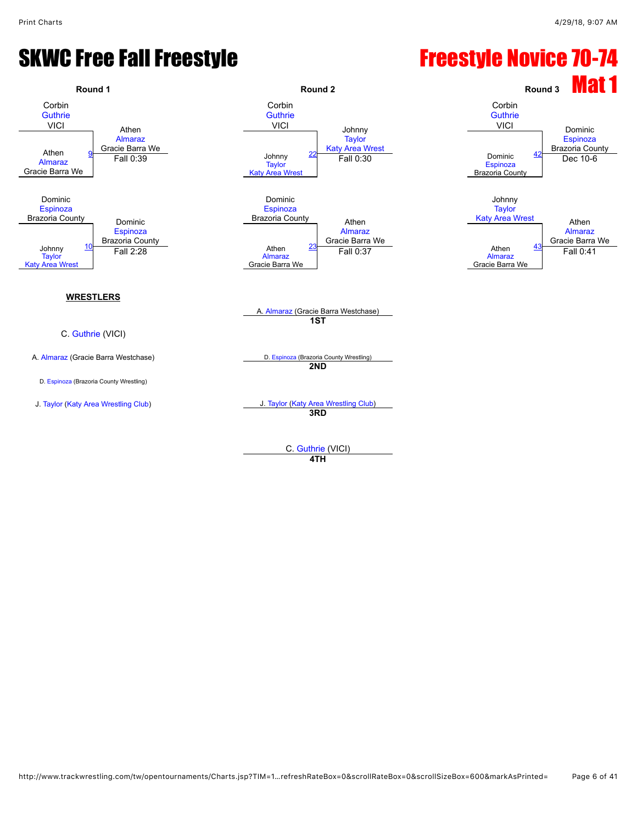#### SKWC Free Fall Freestyle **Freestyle Rovice 70-74**



**4TH**

http://www.trackwrestling.com/tw/opentournaments/Charts.jsp?TIM=1…refreshRateBox=0&scrollRateBox=0&scrollSizeBox=600&markAsPrinted= Page 6 of 41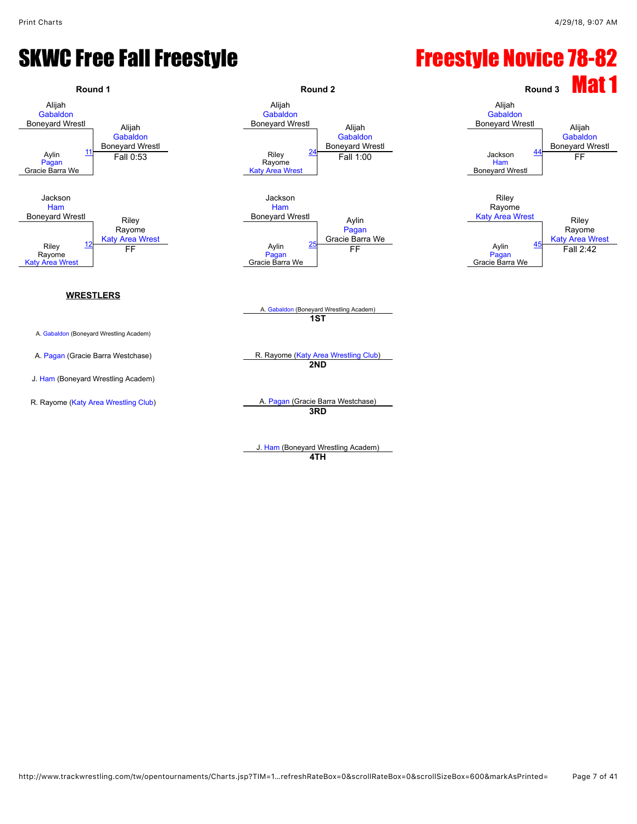#### SKWC Free Fall Freestyle **Freestyle Novice 78-82**



J. [Ham](javascript:viewProfile(334074096)) (Boneyard Wrestling Academ) **4TH**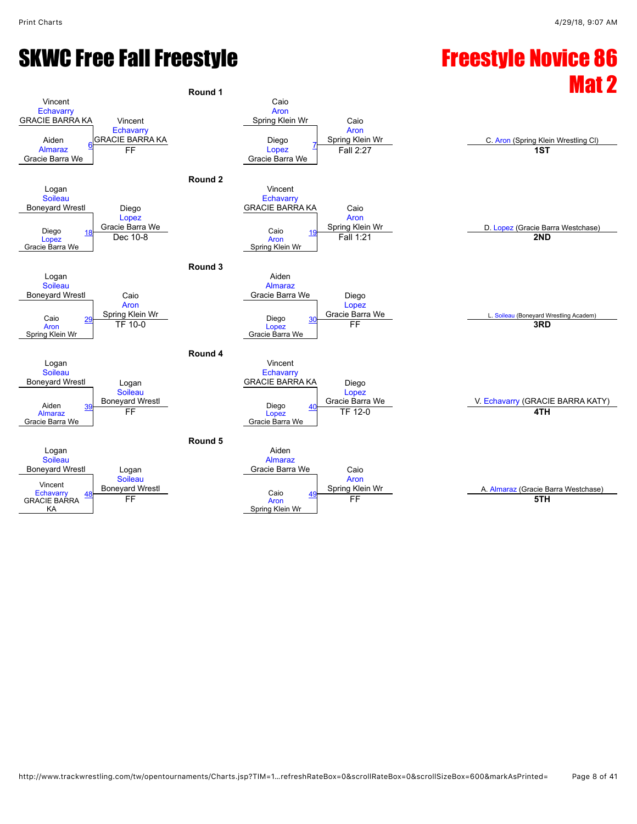### SKWC Free Fall Freestyle **Freestyle Novice 86**

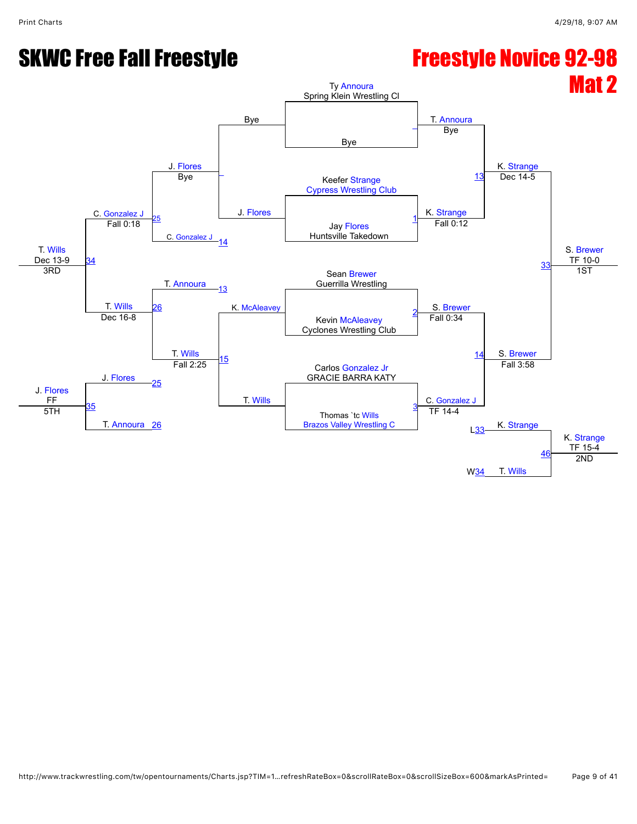#### SKWC Free Fall Freestyle **Freestyle Novice 92-98**

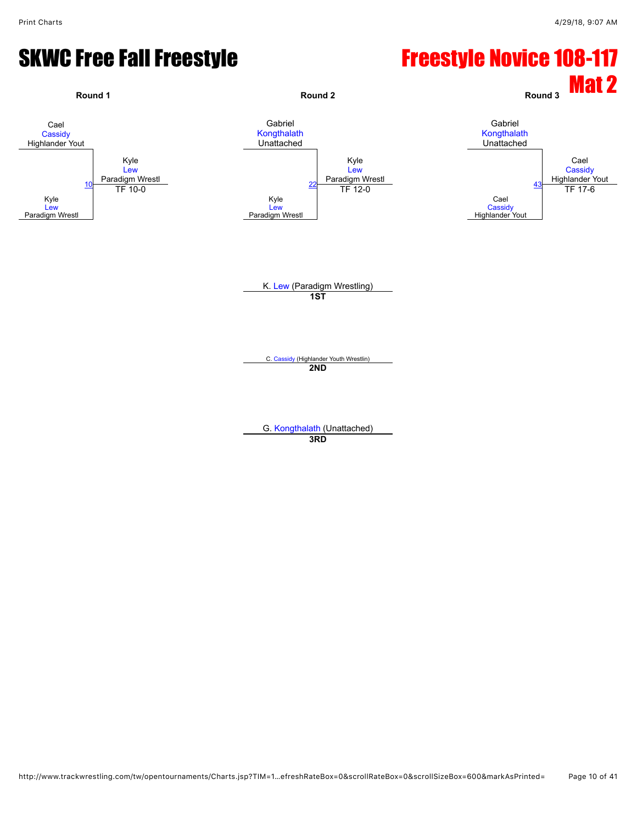#### SKWC Free Fall Freestyle **Freestyle Novice 108-117**

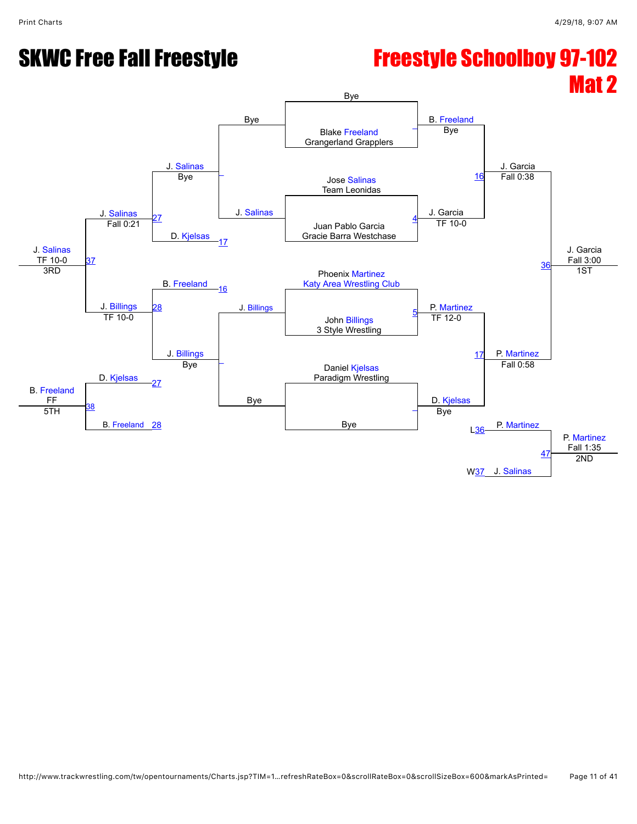# SKWC Free Fall Freestyle **Freestyle Schoolboy 97-102**

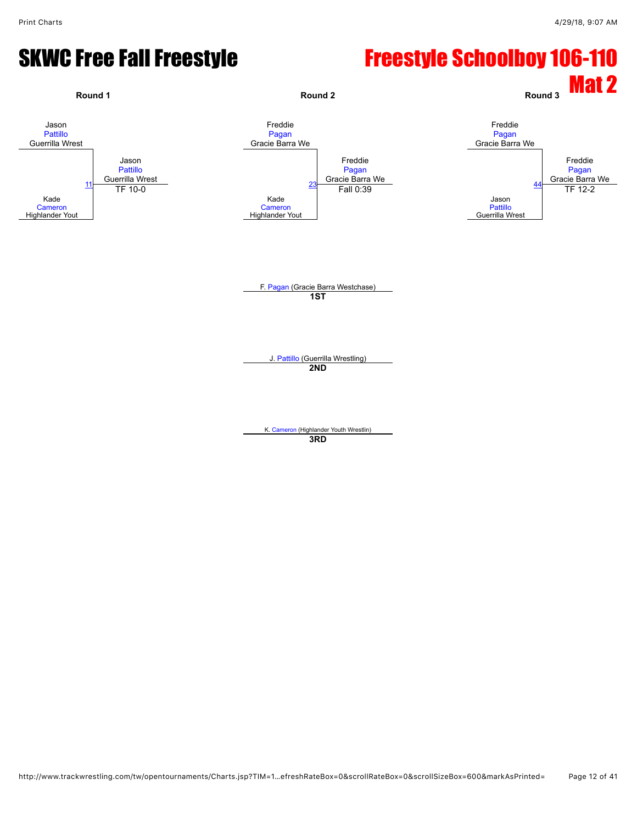#### SKWC Free Fall Freestyle **Freestyle Schoolboy 106-110**

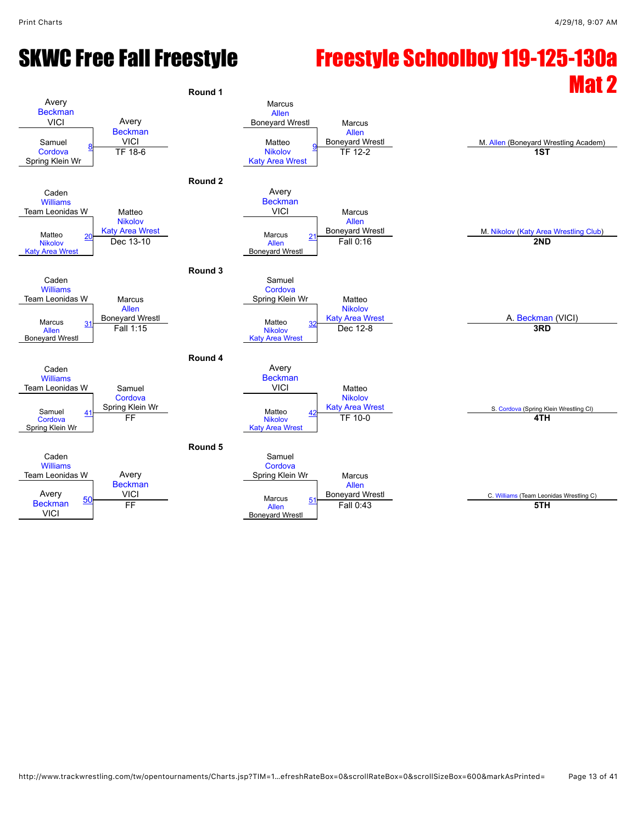#### SKWC Free Fall Freestyle Freestyle Schoolboy 119-125-130a  $R_{\text{round 1}}$

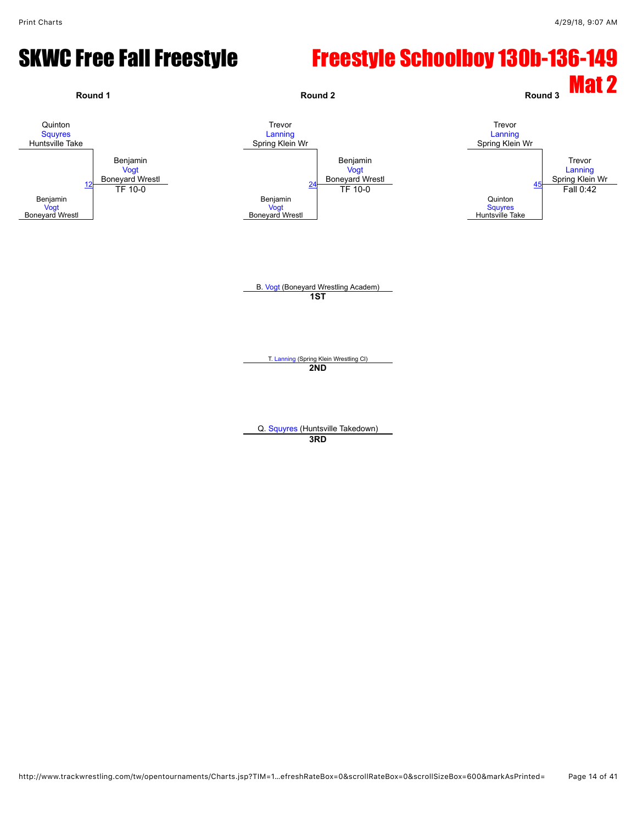#### SKWC Free Fall Freestyle Freestyle Schoolboy 130b-136-149

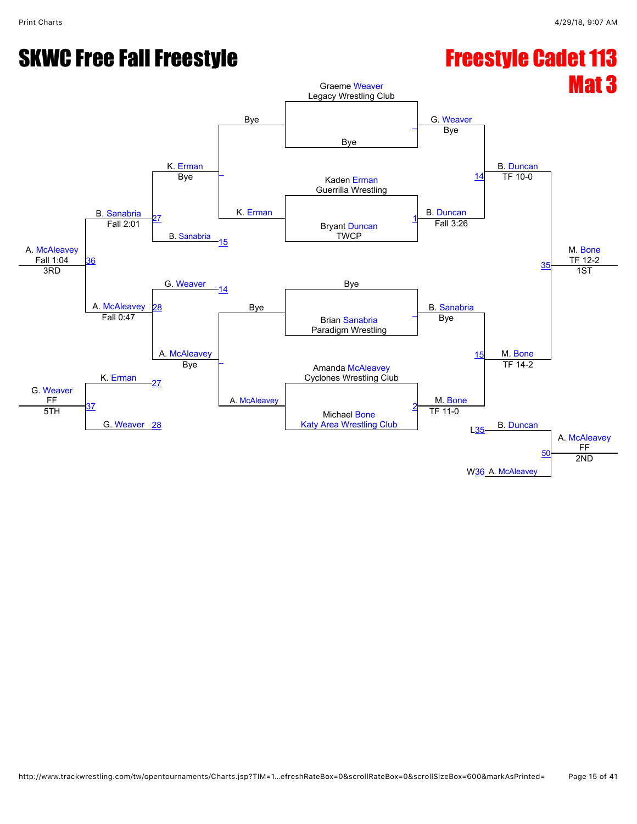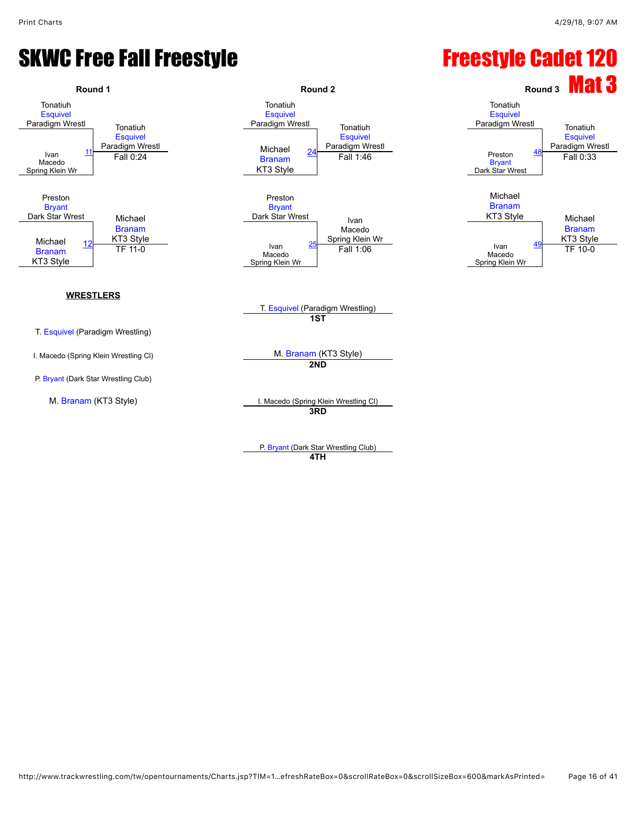

P. [Bryant](javascript:viewProfile(1548085096)) (Dark Star Wrestling Club) **4TH**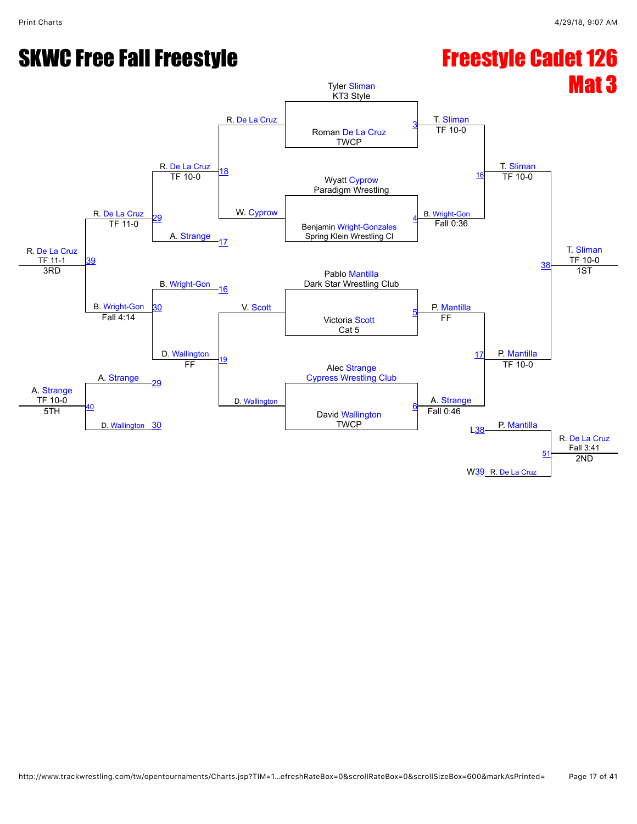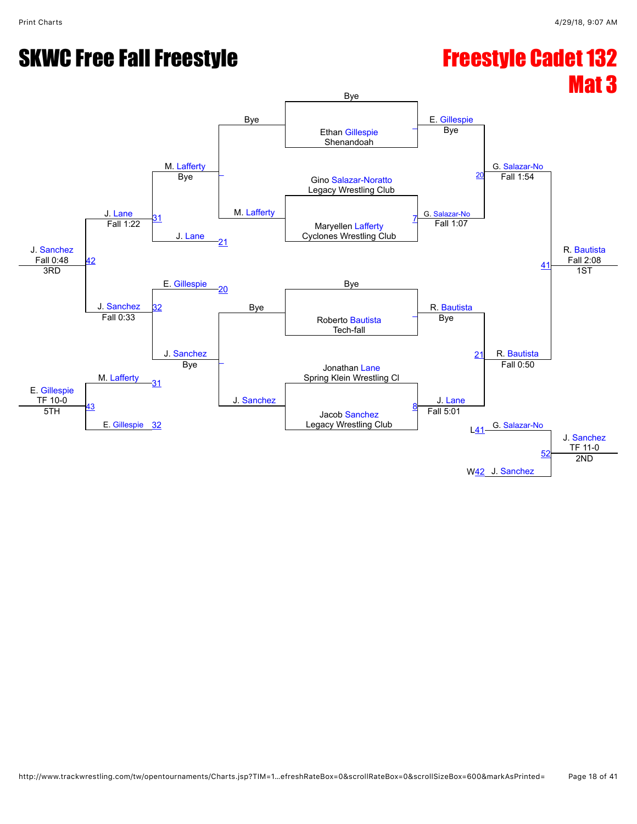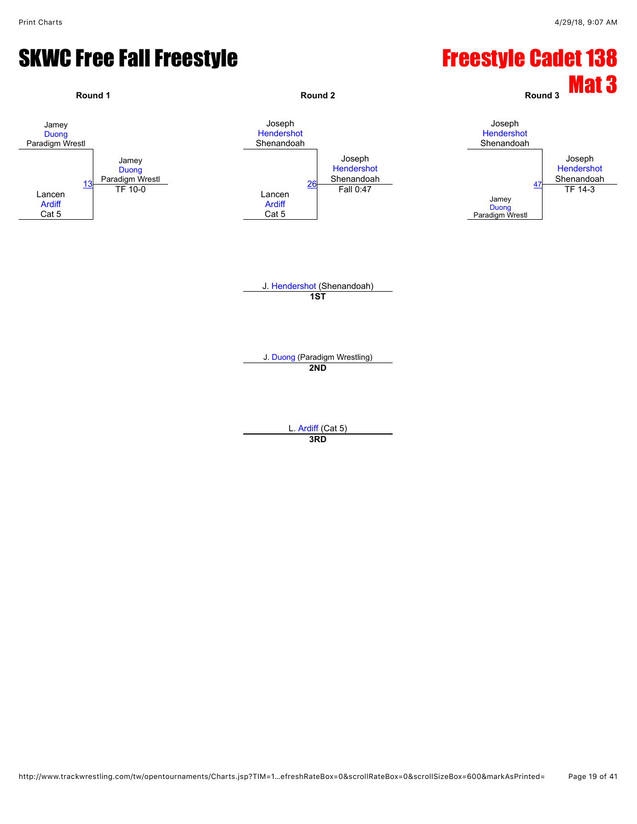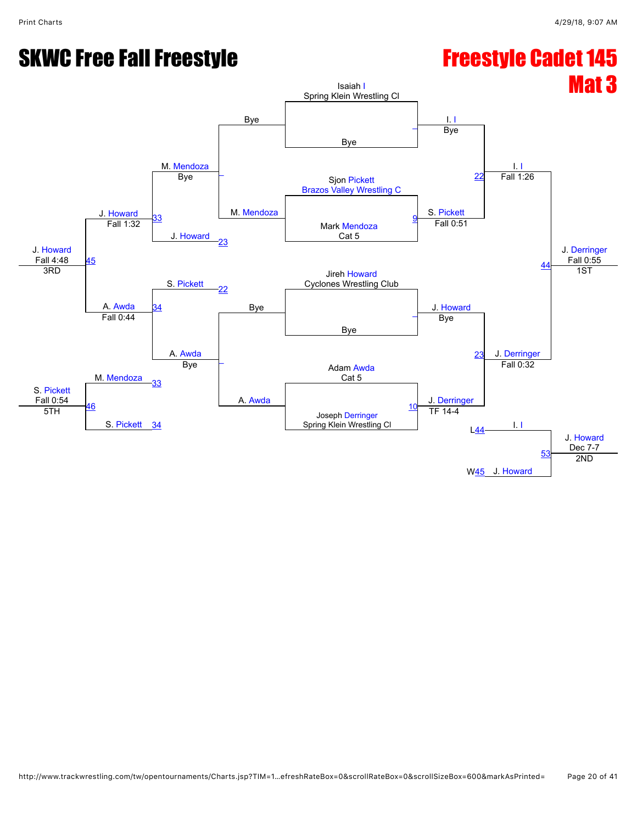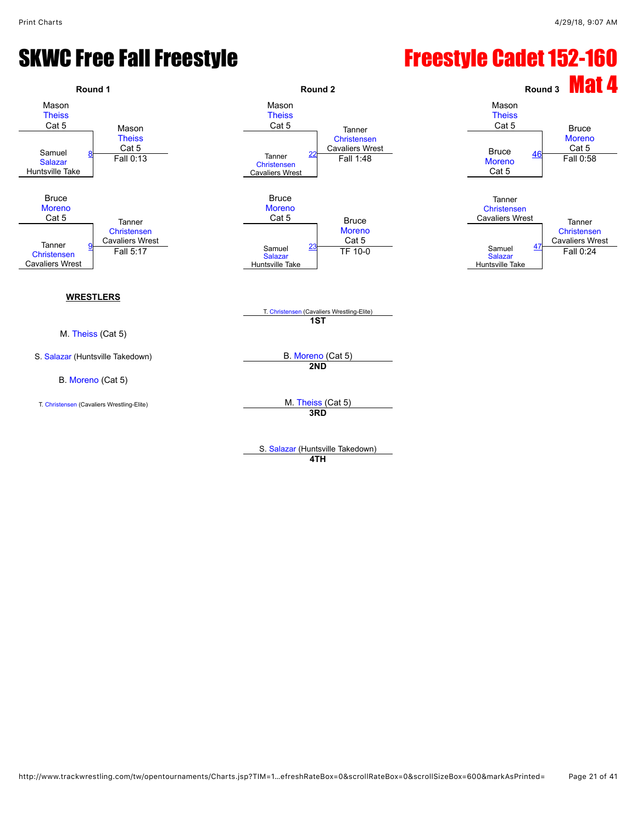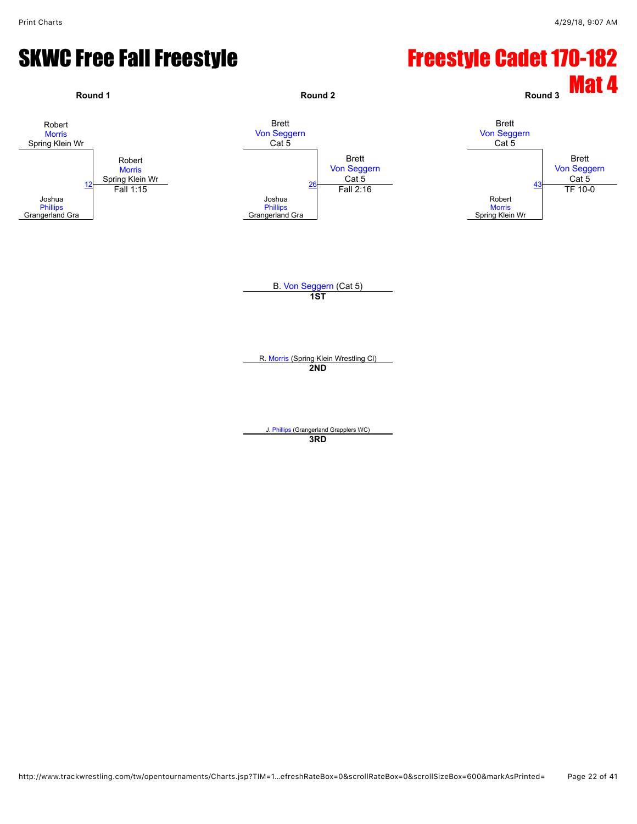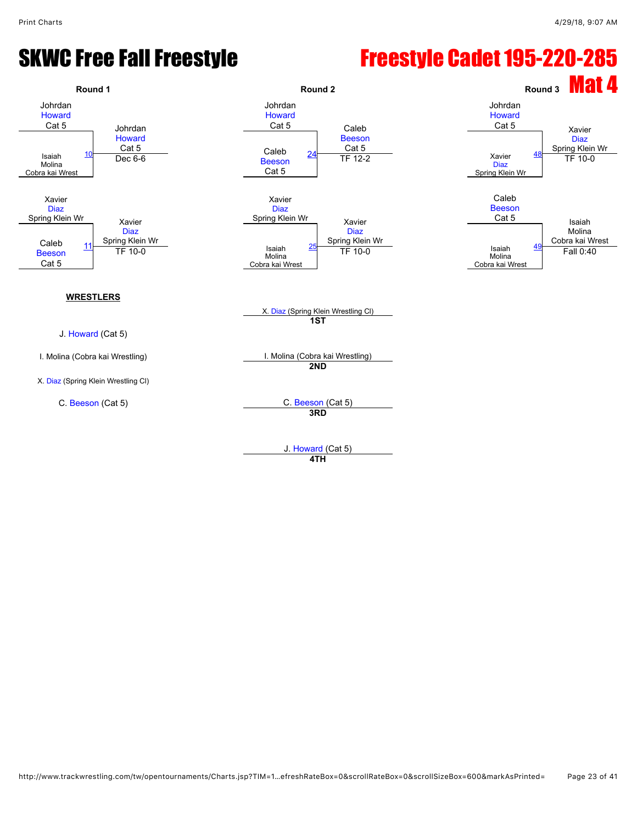#### SKWC Free Fall Freestyle **Freestyle Cadet 195-220-285**



**4TH**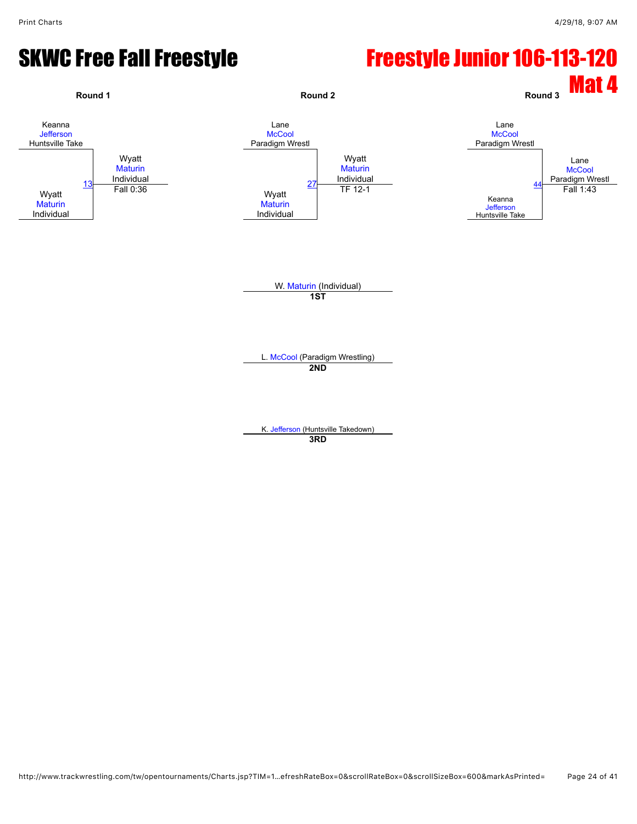#### SKWC Free Fall Freestyle **Freestyle Junior 106-113-120**

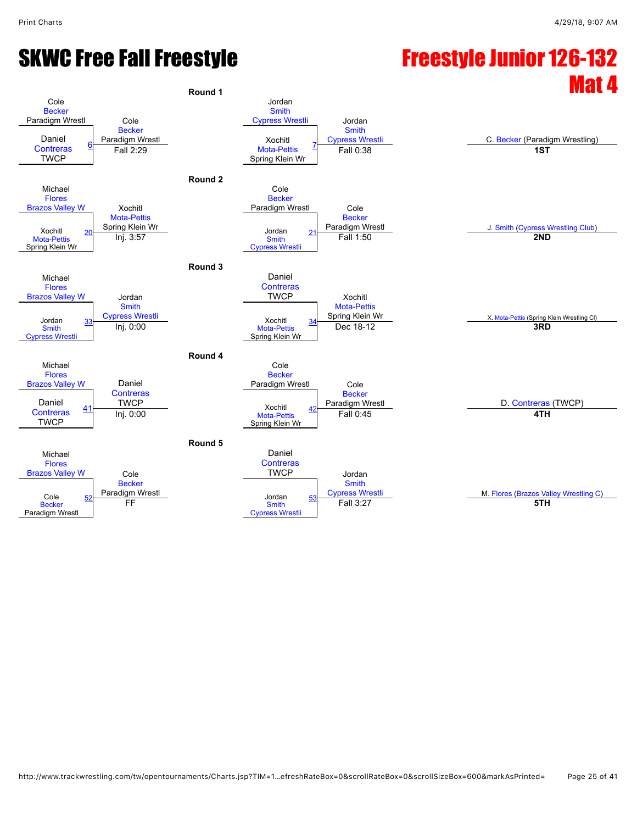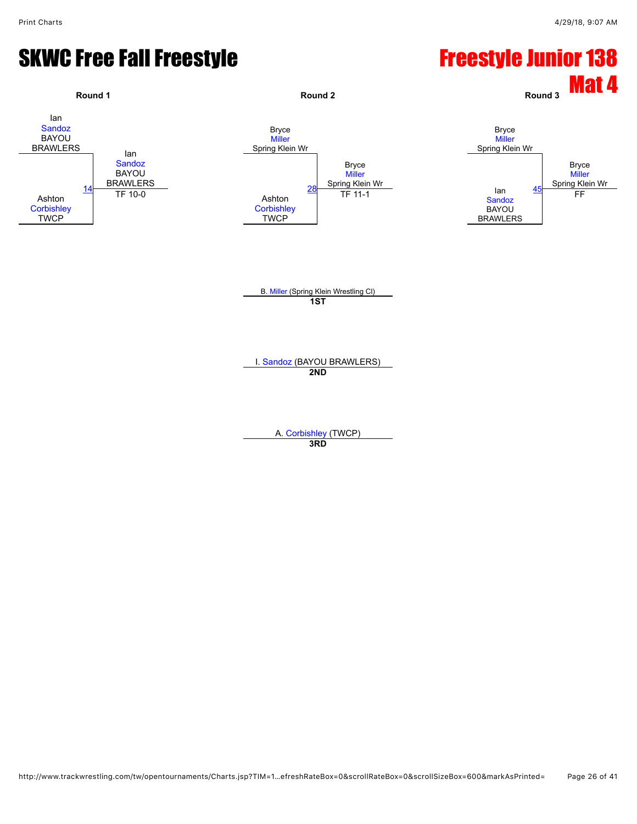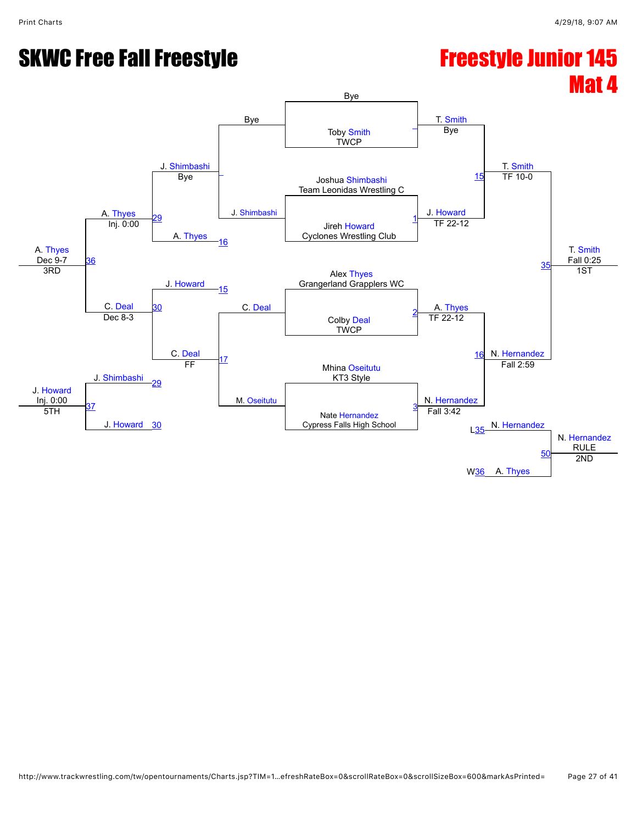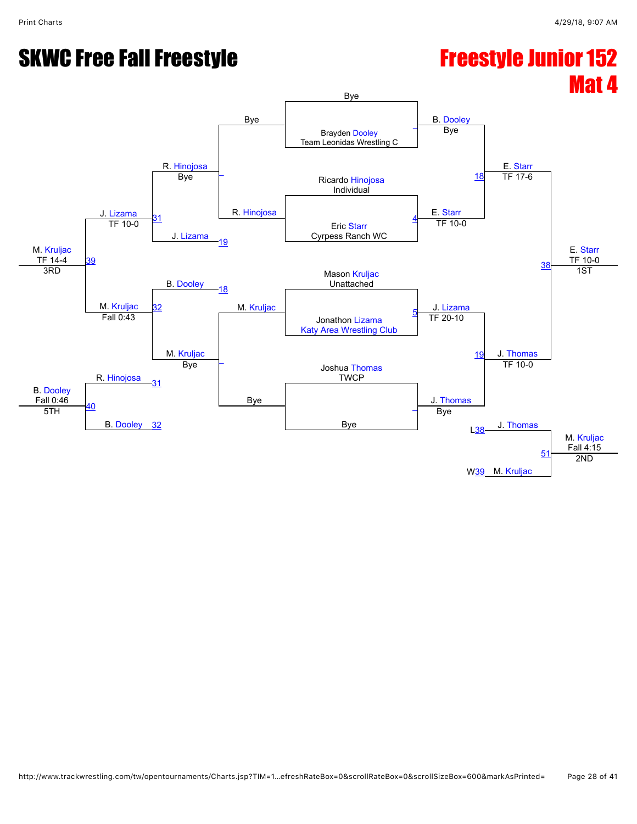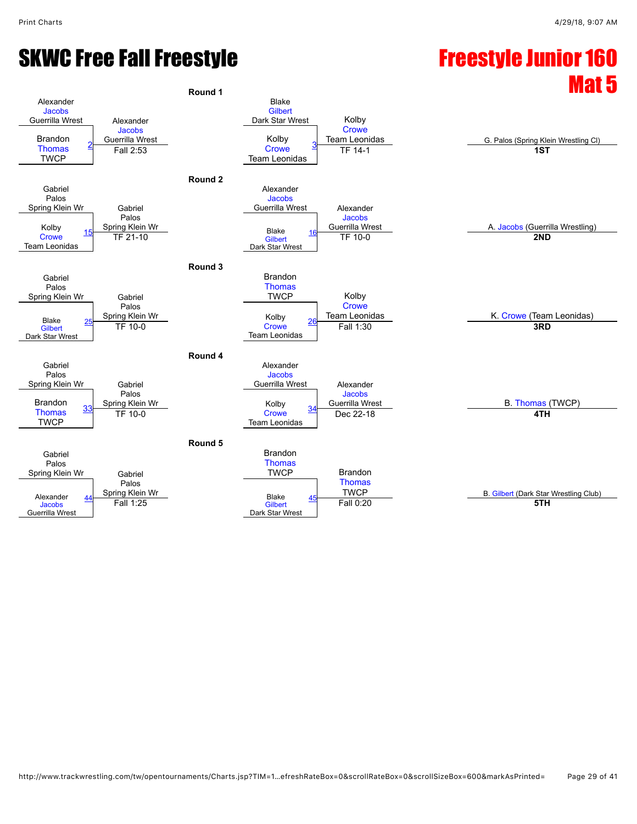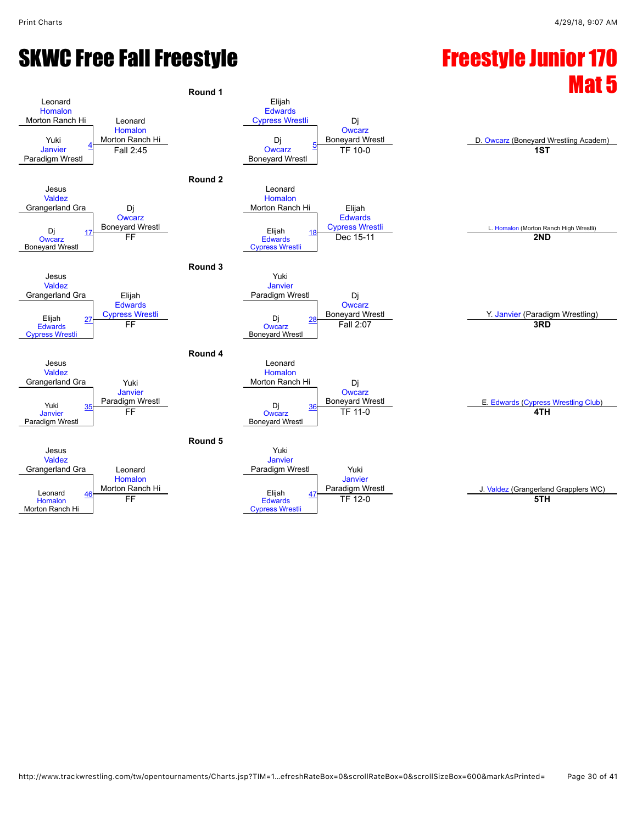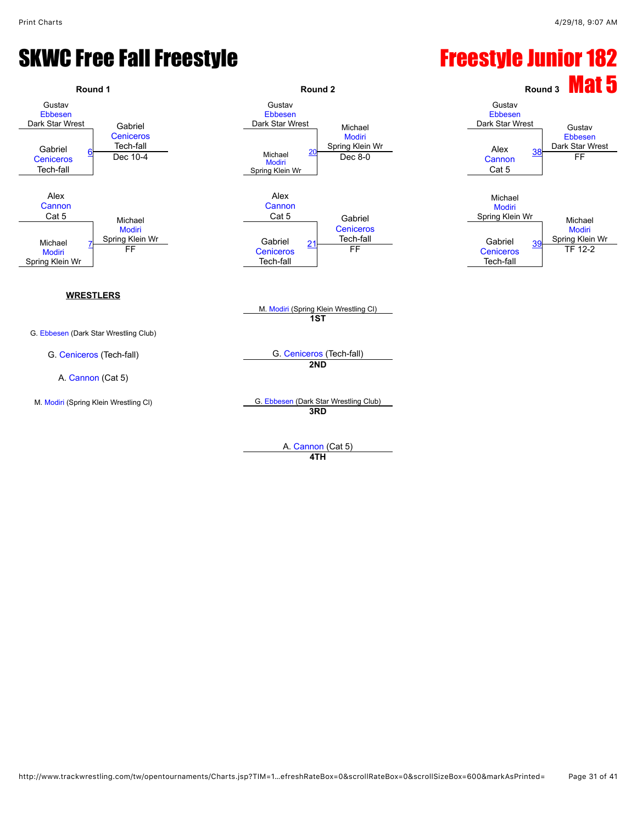

A. [Cannon](javascript:viewProfile(628628132)) (Cat 5) **4TH**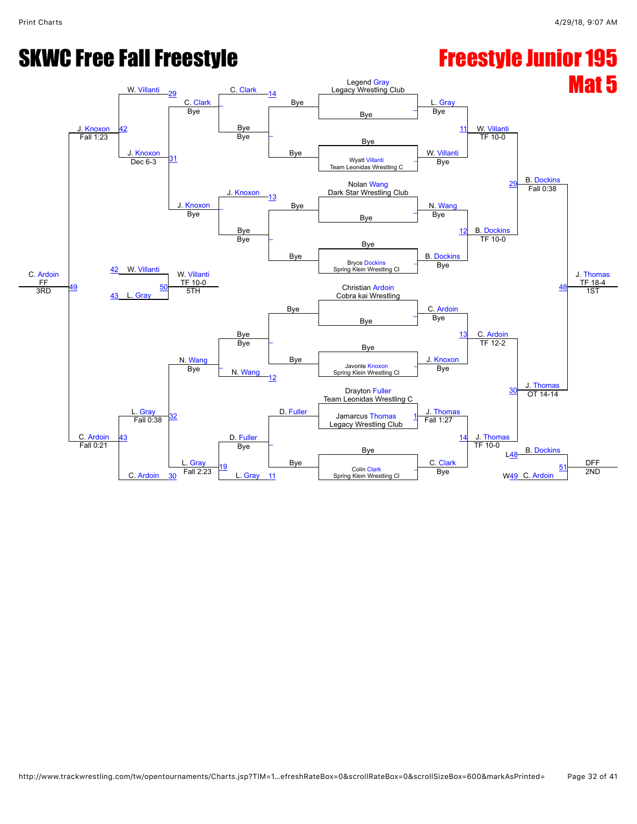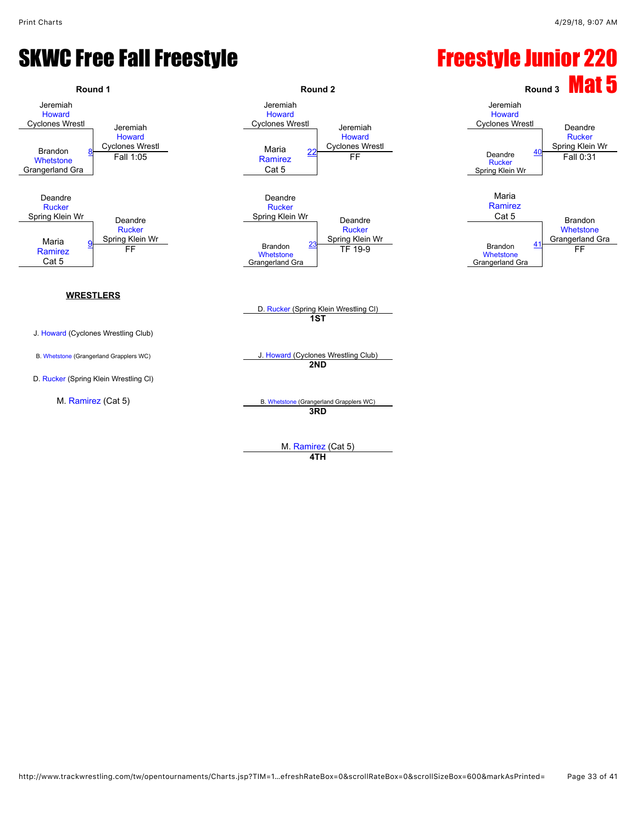

**4TH**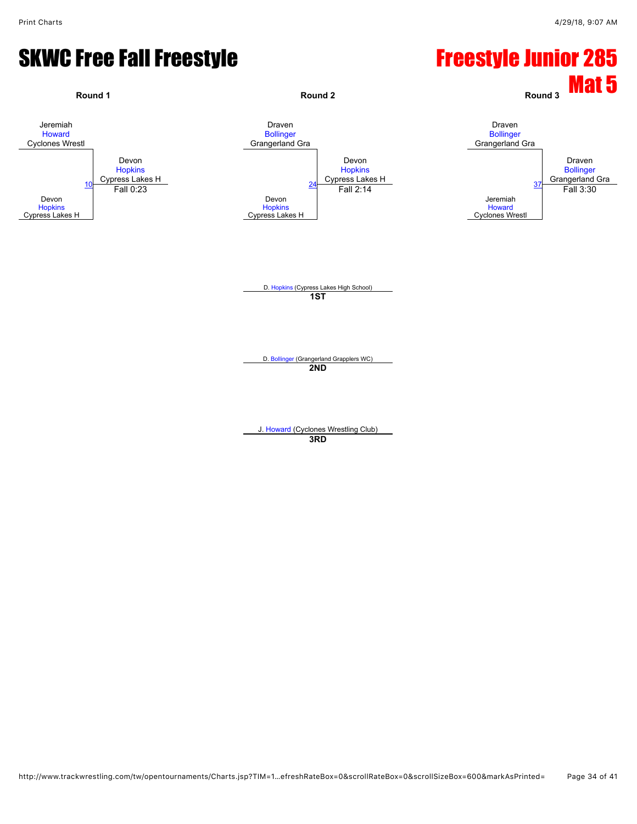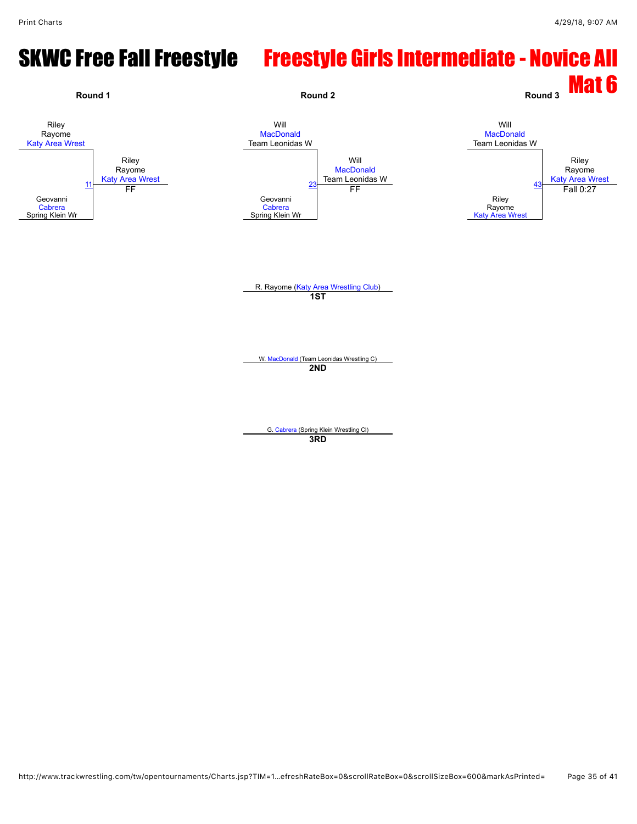## SKWC Free Fall Freestyle Freestyle Girls Intermediate - Novice All

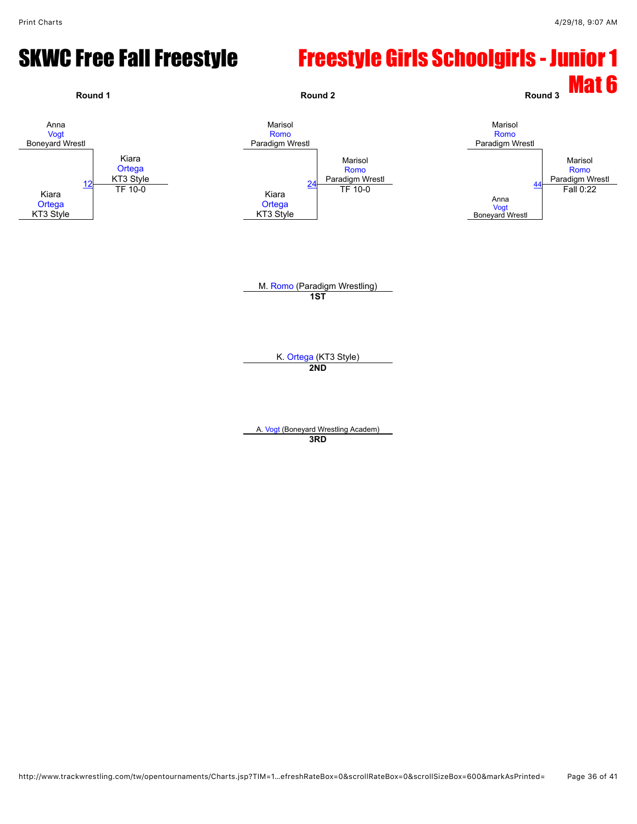#### SKWC Free Fall Freestyle Freestyle Girls Schoolgirls - Junior 1

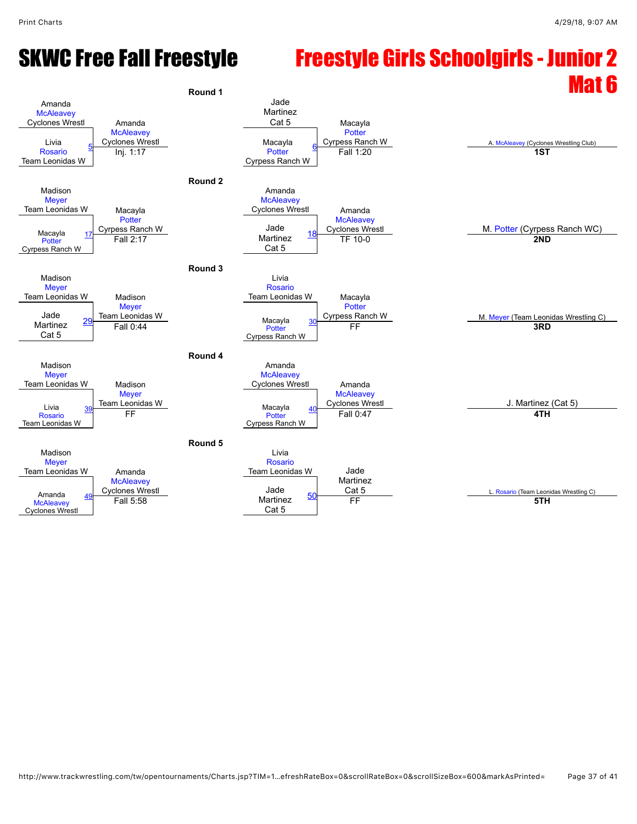#### SKWC Free Fall Freestyle Freestyle Girls Schoolgirls - Junior 2 Round 1

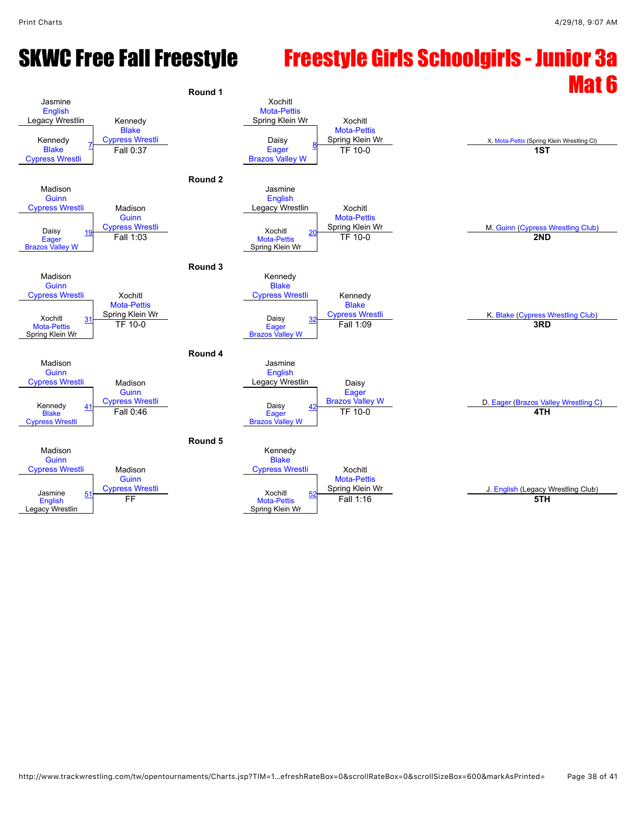#### SKWC Free Fall Freestyle Freestyle Girls Schoolgirls - Junior 3a Round 1

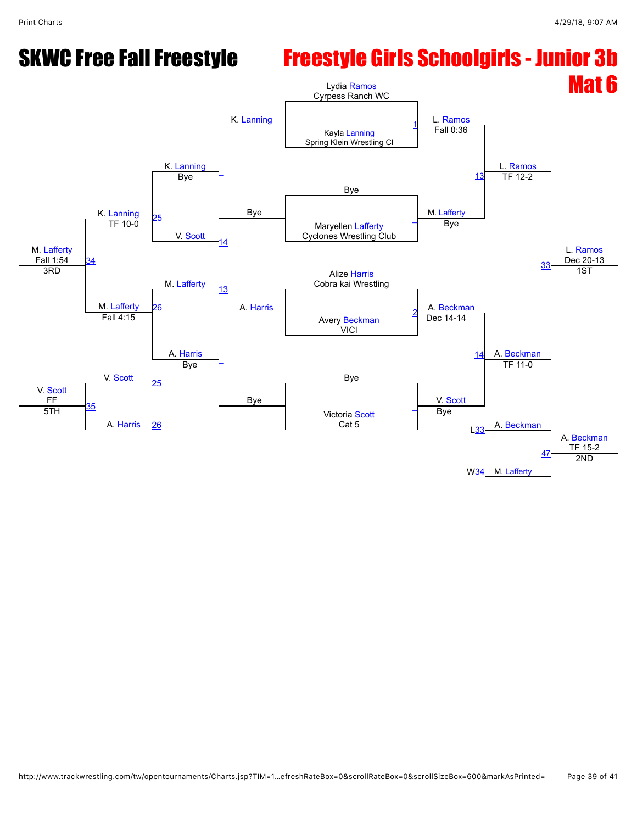#### SKWC Free Fall Freestyle Freestyle Girls Schoolgirls - Junior 3b

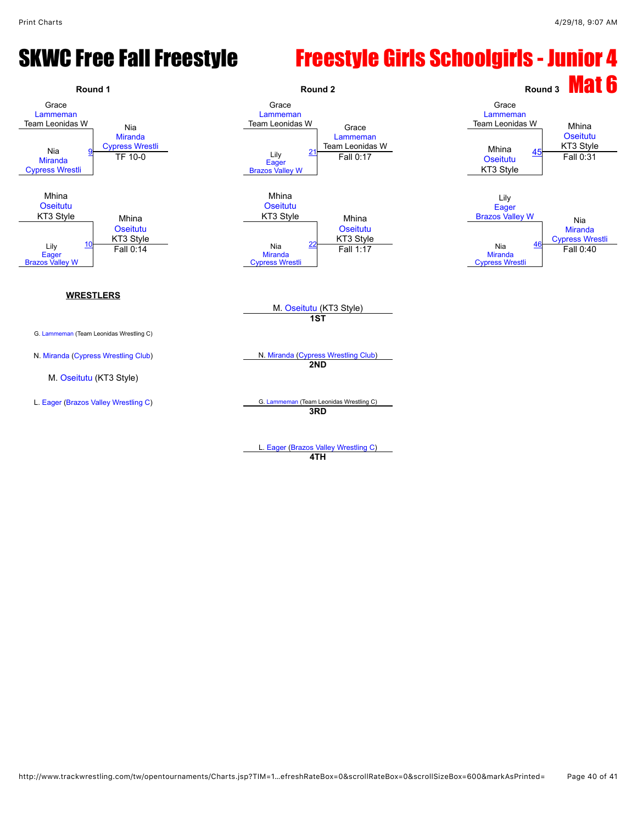#### SKWC Free Fall Freestyle Freestyle Girls Schoolgirls - Junior 4



L. [Eager](javascript:viewProfile(1166595096)) ([Brazos Valley Wrestling C](javascript:viewClub(16280009))) **4TH**